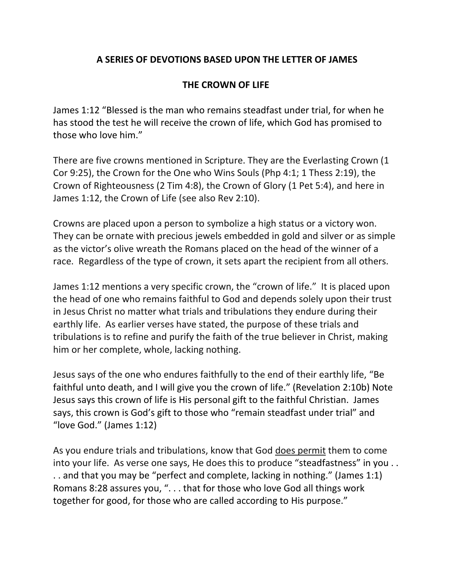## **A SERIES OF DEVOTIONS BASED UPON THE LETTER OF JAMES**

## **THE CROWN OF LIFE**

James 1:12 "Blessed is the man who remains steadfast under trial, for when he has stood the test he will receive the crown of life, which God has promised to those who love him."

There are five crowns mentioned in Scripture. They are the Everlasting Crown (1 Cor 9:25), the Crown for the One who Wins Souls (Php 4:1; 1 Thess 2:19), the Crown of Righteousness (2 Tim 4:8), the Crown of Glory (1 Pet 5:4), and here in James 1:12, the Crown of Life (see also Rev 2:10).

Crowns are placed upon a person to symbolize a high status or a victory won. They can be ornate with precious jewels embedded in gold and silver or as simple as the victor's olive wreath the Romans placed on the head of the winner of a race. Regardless of the type of crown, it sets apart the recipient from all others.

James 1:12 mentions a very specific crown, the "crown of life." It is placed upon the head of one who remains faithful to God and depends solely upon their trust in Jesus Christ no matter what trials and tribulations they endure during their earthly life. As earlier verses have stated, the purpose of these trials and tribulations is to refine and purify the faith of the true believer in Christ, making him or her complete, whole, lacking nothing.

Jesus says of the one who endures faithfully to the end of their earthly life, "Be faithful unto death, and I will give you the crown of life." (Revelation 2:10b) Note Jesus says this crown of life is His personal gift to the faithful Christian. James says, this crown is God's gift to those who "remain steadfast under trial" and "love God." (James 1:12)

As you endure trials and tribulations, know that God does permit them to come into your life. As verse one says, He does this to produce "steadfastness" in you . . . . and that you may be "perfect and complete, lacking in nothing." (James 1:1) Romans 8:28 assures you, ". . . that for those who love God all things work together for good, for those who are called according to His purpose."